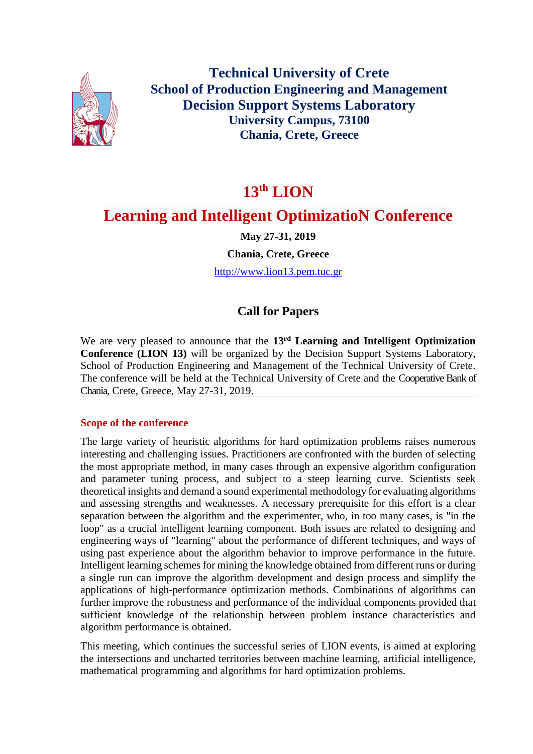

**Technical University of Crete School of Production Engineering and Management Decision Support Systems Laboratory University Campus, 73100 Chania, Crete, Greece**

# **13th LION**

# **Learning and Intelligent OptimizatioN Conference**

**May 27-31, 2019**

**Chania, Crete, Greece**

[http://www.lion13.pem.tuc.gr](http://www.lion13.pem.tuc.gr/)

# **Call for Papers**

We are very pleased to announce that the **13rd Learning and Intelligent Optimization Conference (LION 13)** will be organized by the Decision Support Systems Laboratory, School of Production Engineering and Management of the Technical University of Crete. The conference will be held at the Technical University of Crete and the Cooperative Bank of Chania, Crete, Greece, May 27-31, 2019.

# **Scope of the conference**

The large variety of heuristic algorithms for hard optimization problems raises numerous interesting and challenging issues. Practitioners are confronted with the burden of selecting the most appropriate method, in many cases through an expensive algorithm configuration and parameter tuning process, and subject to a steep learning curve. Scientists seek theoretical insights and demand a sound experimental methodology for evaluating algorithms and assessing strengths and weaknesses. A necessary prerequisite for this effort is a clear separation between the algorithm and the experimenter, who, in too many cases, is "in the loop" as a crucial intelligent learning component. Both issues are related to designing and engineering ways of "learning" about the performance of different techniques, and ways of using past experience about the algorithm behavior to improve performance in the future. Intelligent learning schemes for mining the knowledge obtained from different runs or during a single run can improve the algorithm development and design process and simplify the applications of high-performance optimization methods. Combinations of algorithms can further improve the robustness and performance of the individual components provided that sufficient knowledge of the relationship between problem instance characteristics and algorithm performance is obtained.

This meeting, which continues the successful series of LION events, is aimed at exploring the intersections and uncharted territories between machine learning, artificial intelligence, mathematical programming and algorithms for hard optimization problems.